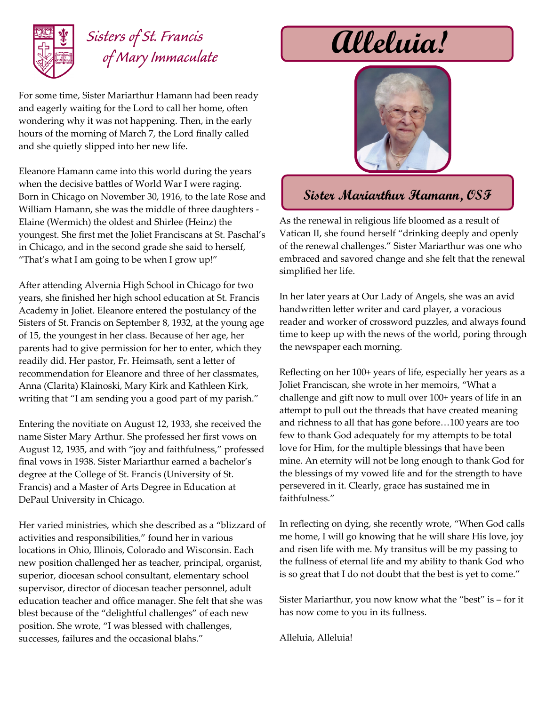

## *Sisters of St. Francis of Mary Immaculate*

For some time, Sister Mariarthur Hamann had been ready and eagerly waiting for the Lord to call her home, often wondering why it was not happening. Then, in the early hours of the morning of March 7, the Lord finally called and she quietly slipped into her new life.

Eleanore Hamann came into this world during the years when the decisive battles of World War I were raging. Born in Chicago on November 30, 1916, to the late Rose and William Hamann, she was the middle of three daughters - Elaine (Wermich) the oldest and Shirlee (Heinz) the youngest. She first met the Joliet Franciscans at St. Paschal's in Chicago, and in the second grade she said to herself, "That's what I am going to be when I grow up!"

After attending Alvernia High School in Chicago for two years, she finished her high school education at St. Francis Academy in Joliet. Eleanore entered the postulancy of the Sisters of St. Francis on September 8, 1932, at the young age of 15, the youngest in her class. Because of her age, her parents had to give permission for her to enter, which they readily did. Her pastor, Fr. Heimsath, sent a letter of recommendation for Eleanore and three of her classmates, Anna (Clarita) Klainoski, Mary Kirk and Kathleen Kirk, writing that "I am sending you a good part of my parish."

Entering the novitiate on August 12, 1933, she received the name Sister Mary Arthur. She professed her first vows on August 12, 1935, and with "joy and faithfulness," professed final vows in 1938. Sister Mariarthur earned a bachelor's degree at the College of St. Francis (University of St. Francis) and a Master of Arts Degree in Education at DePaul University in Chicago.

Her varied ministries, which she described as a "blizzard of activities and responsibilities," found her in various locations in Ohio, Illinois, Colorado and Wisconsin. Each new position challenged her as teacher, principal, organist, superior, diocesan school consultant, elementary school supervisor, director of diocesan teacher personnel, adult education teacher and office manager. She felt that she was blest because of the "delightful challenges" of each new position. She wrote, "I was blessed with challenges, successes, failures and the occasional blahs."

## **Alleluia!**



## **Sister Mariarthur Hamann, OSF**

As the renewal in religious life bloomed as a result of Vatican II, she found herself "drinking deeply and openly of the renewal challenges." Sister Mariarthur was one who embraced and savored change and she felt that the renewal simplified her life.

In her later years at Our Lady of Angels, she was an avid handwritten letter writer and card player, a voracious reader and worker of crossword puzzles, and always found time to keep up with the news of the world, poring through the newspaper each morning.

Reflecting on her 100+ years of life, especially her years as a Joliet Franciscan, she wrote in her memoirs, "What a challenge and gift now to mull over 100+ years of life in an attempt to pull out the threads that have created meaning and richness to all that has gone before…100 years are too few to thank God adequately for my attempts to be total love for Him, for the multiple blessings that have been mine. An eternity will not be long enough to thank God for the blessings of my vowed life and for the strength to have persevered in it. Clearly, grace has sustained me in faithfulness."

In reflecting on dying, she recently wrote, "When God calls me home, I will go knowing that he will share His love, joy and risen life with me. My transitus will be my passing to the fullness of eternal life and my ability to thank God who is so great that I do not doubt that the best is yet to come."

Sister Mariarthur, you now know what the "best" is – for it has now come to you in its fullness.

Alleluia, Alleluia!